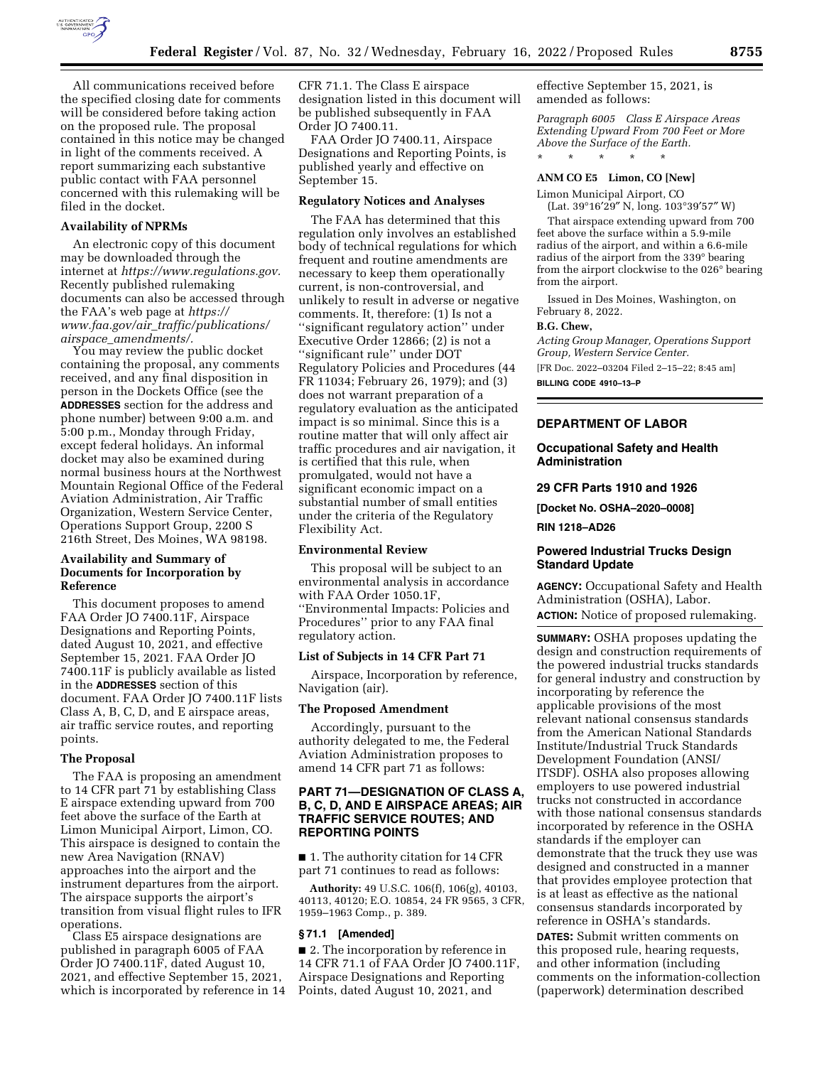

All communications received before the specified closing date for comments will be considered before taking action on the proposed rule. The proposal contained in this notice may be changed in light of the comments received. A report summarizing each substantive public contact with FAA personnel concerned with this rulemaking will be filed in the docket.

#### **Availability of NPRMs**

An electronic copy of this document may be downloaded through the internet at *[https://www.regulations.gov.](https://www.regulations.gov)*  Recently published rulemaking documents can also be accessed through the FAA's web page at *[https://](https://www.faa.gov/air_traffic/publications/airspace_amendments/) www.faa.gov/air*\_*[traffic/publications/](https://www.faa.gov/air_traffic/publications/airspace_amendments/) airspace*\_*[amendments/.](https://www.faa.gov/air_traffic/publications/airspace_amendments/)* 

You may review the public docket containing the proposal, any comments received, and any final disposition in person in the Dockets Office (see the **ADDRESSES** section for the address and phone number) between 9:00 a.m. and 5:00 p.m., Monday through Friday, except federal holidays. An informal docket may also be examined during normal business hours at the Northwest Mountain Regional Office of the Federal Aviation Administration, Air Traffic Organization, Western Service Center, Operations Support Group, 2200 S 216th Street, Des Moines, WA 98198.

# **Availability and Summary of Documents for Incorporation by Reference**

This document proposes to amend FAA Order JO 7400.11F, Airspace Designations and Reporting Points, dated August 10, 2021, and effective September 15, 2021. FAA Order JO 7400.11F is publicly available as listed in the **ADDRESSES** section of this document. FAA Order JO 7400.11F lists Class A, B, C, D, and E airspace areas, air traffic service routes, and reporting points.

#### **The Proposal**

The FAA is proposing an amendment to 14 CFR part 71 by establishing Class E airspace extending upward from 700 feet above the surface of the Earth at Limon Municipal Airport, Limon, CO. This airspace is designed to contain the new Area Navigation (RNAV) approaches into the airport and the instrument departures from the airport. The airspace supports the airport's transition from visual flight rules to IFR operations.

Class E5 airspace designations are published in paragraph 6005 of FAA Order JO 7400.11F, dated August 10, 2021, and effective September 15, 2021, which is incorporated by reference in 14 CFR 71.1. The Class E airspace designation listed in this document will be published subsequently in FAA Order JO 7400.11.

FAA Order JO 7400.11, Airspace Designations and Reporting Points, is published yearly and effective on September 15.

#### **Regulatory Notices and Analyses**

The FAA has determined that this regulation only involves an established body of technical regulations for which frequent and routine amendments are necessary to keep them operationally current, is non-controversial, and unlikely to result in adverse or negative comments. It, therefore: (1) Is not a ''significant regulatory action'' under Executive Order 12866; (2) is not a ''significant rule'' under DOT Regulatory Policies and Procedures (44 FR 11034; February 26, 1979); and (3) does not warrant preparation of a regulatory evaluation as the anticipated impact is so minimal. Since this is a routine matter that will only affect air traffic procedures and air navigation, it is certified that this rule, when promulgated, would not have a significant economic impact on a substantial number of small entities under the criteria of the Regulatory Flexibility Act.

#### **Environmental Review**

This proposal will be subject to an environmental analysis in accordance with FAA Order 1050.1F, ''Environmental Impacts: Policies and Procedures'' prior to any FAA final regulatory action.

#### **List of Subjects in 14 CFR Part 71**

Airspace, Incorporation by reference, Navigation (air).

#### **The Proposed Amendment**

Accordingly, pursuant to the authority delegated to me, the Federal Aviation Administration proposes to amend 14 CFR part 71 as follows:

# **PART 71—DESIGNATION OF CLASS A, B, C, D, AND E AIRSPACE AREAS; AIR TRAFFIC SERVICE ROUTES; AND REPORTING POINTS**

■ 1. The authority citation for 14 CFR part 71 continues to read as follows:

**Authority:** 49 U.S.C. 106(f), 106(g), 40103, 40113, 40120; E.O. 10854, 24 FR 9565, 3 CFR, 1959–1963 Comp., p. 389.

#### **§ 71.1 [Amended]**

■ 2. The incorporation by reference in 14 CFR 71.1 of FAA Order JO 7400.11F, Airspace Designations and Reporting Points, dated August 10, 2021, and

effective September 15, 2021, is amended as follows:

*Paragraph 6005 Class E Airspace Areas Extending Upward From 700 Feet or More Above the Surface of the Earth.*  \* \* \* \* \*

#### **ANM CO E5 Limon, CO [New]**

Limon Municipal Airport, CO (Lat. 39°16′29″ N, long. 103°39′57″ W)

That airspace extending upward from 700 feet above the surface within a 5.9-mile radius of the airport, and within a 6.6-mile radius of the airport from the 339° bearing from the airport clockwise to the 026° bearing from the airport.

Issued in Des Moines, Washington, on February 8, 2022.

#### **B.G. Chew,**

*Acting Group Manager, Operations Support Group, Western Service Center.*  [FR Doc. 2022–03204 Filed 2–15–22; 8:45 am]

**BILLING CODE 4910–13–P** 

## **DEPARTMENT OF LABOR**

## **Occupational Safety and Health Administration**

#### **29 CFR Parts 1910 and 1926**

**[Docket No. OSHA–2020–0008]** 

**RIN 1218–AD26** 

#### **Powered Industrial Trucks Design Standard Update**

**AGENCY:** Occupational Safety and Health Administration (OSHA), Labor. **ACTION:** Notice of proposed rulemaking.

**SUMMARY:** OSHA proposes updating the design and construction requirements of the powered industrial trucks standards for general industry and construction by incorporating by reference the applicable provisions of the most relevant national consensus standards from the American National Standards Institute/Industrial Truck Standards Development Foundation (ANSI/ ITSDF). OSHA also proposes allowing employers to use powered industrial trucks not constructed in accordance with those national consensus standards incorporated by reference in the OSHA standards if the employer can demonstrate that the truck they use was designed and constructed in a manner that provides employee protection that is at least as effective as the national consensus standards incorporated by reference in OSHA's standards.

**DATES:** Submit written comments on this proposed rule, hearing requests, and other information (including comments on the information-collection (paperwork) determination described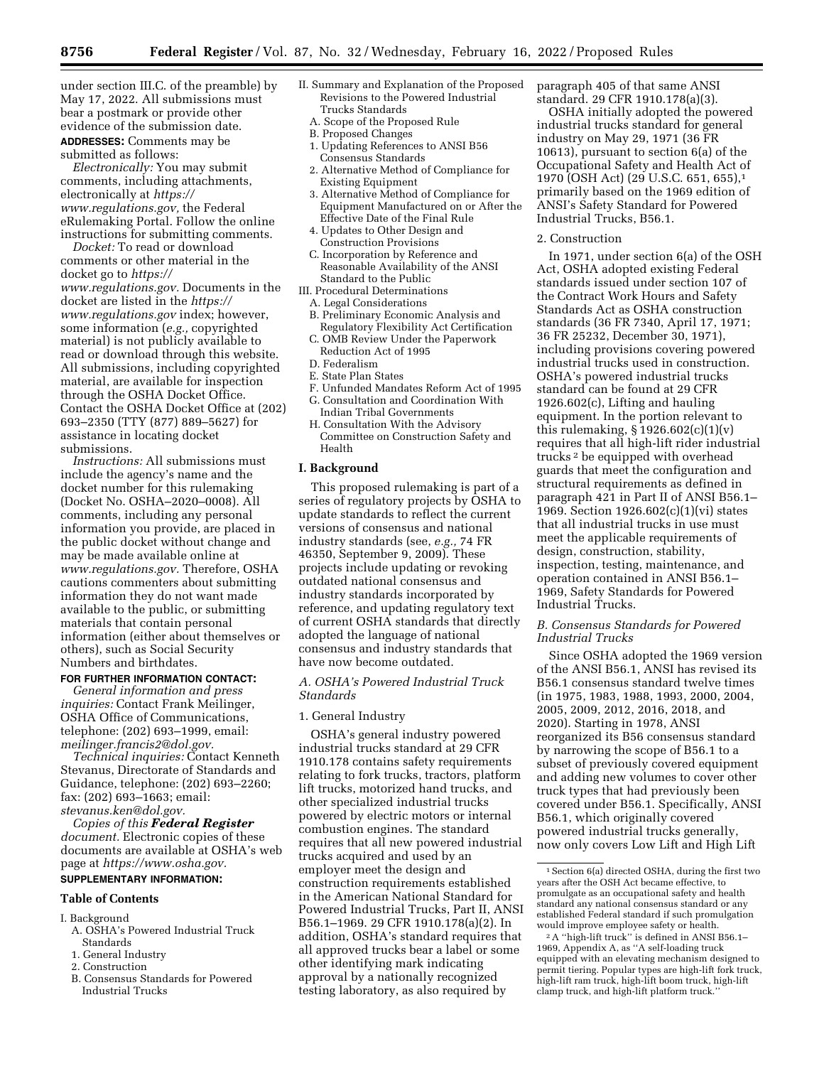under section III.C. of the preamble) by May 17, 2022. All submissions must bear a postmark or provide other evidence of the submission date.

**ADDRESSES:** Comments may be submitted as follows:

*Electronically:* You may submit comments, including attachments, electronically at *[https://](https://www.regulations.gov) [www.regulations.gov,](https://www.regulations.gov)* the Federal eRulemaking Portal. Follow the online instructions for submitting comments.

*Docket:* To read or download comments or other material in the docket go to *[https://](https://www.regulations.gov) [www.regulations.gov.](https://www.regulations.gov)* Documents in the docket are listed in the *[https://](https://www.regulations.gov) [www.regulations.gov](https://www.regulations.gov)* index; however, some information (*e.g.,* copyrighted material) is not publicly available to read or download through this website. All submissions, including copyrighted material, are available for inspection through the OSHA Docket Office. Contact the OSHA Docket Office at (202) 693–2350 (TTY (877) 889–5627) for assistance in locating docket submissions.

*Instructions:* All submissions must include the agency's name and the docket number for this rulemaking (Docket No. OSHA–2020–0008). All comments, including any personal information you provide, are placed in the public docket without change and may be made available online at *[www.regulations.gov.](http://www.regulations.gov)* Therefore, OSHA cautions commenters about submitting information they do not want made available to the public, or submitting materials that contain personal information (either about themselves or others), such as Social Security Numbers and birthdates.

#### **FOR FURTHER INFORMATION CONTACT:**

*General information and press inquiries:* Contact Frank Meilinger, OSHA Office of Communications, telephone: (202) 693–1999, email: *[meilinger.francis2@dol.gov.](mailto:meilinger.francis2@dol.gov)* 

*Technical inquiries:* Contact Kenneth Stevanus, Directorate of Standards and Guidance, telephone: (202) 693–2260; fax: (202) 693–1663; email: *[stevanus.ken@dol.gov.](mailto:stevanus.ken@dol.gov)* 

*Copies of this Federal Register document.* Electronic copies of these documents are available at OSHA's web page at *[https://www.osha.gov.](https://www.osha.gov)*  **SUPPLEMENTARY INFORMATION:** 

# **Table of Contents**

- I. Background
	- A. OSHA's Powered Industrial Truck **Standards**
	- 1. General Industry
	- 2. Construction
	- B. Consensus Standards for Powered Industrial Trucks
- II. Summary and Explanation of the Proposed Revisions to the Powered Industrial Trucks Standards
	- A. Scope of the Proposed Rule
	- B. Proposed Changes
	- 1. Updating References to ANSI B56 Consensus Standards
	- 2. Alternative Method of Compliance for Existing Equipment
	- 3. Alternative Method of Compliance for Equipment Manufactured on or After the Effective Date of the Final Rule
	- 4. Updates to Other Design and Construction Provisions
	- C. Incorporation by Reference and Reasonable Availability of the ANSI Standard to the Public
- III. Procedural Determinations
- A. Legal Considerations
- B. Preliminary Economic Analysis and Regulatory Flexibility Act Certification
- C. OMB Review Under the Paperwork Reduction Act of 1995
- D. Federalism
- E. State Plan States
- F. Unfunded Mandates Reform Act of 1995
- G. Consultation and Coordination With Indian Tribal Governments
- H. Consultation With the Advisory Committee on Construction Safety and Health

#### **I. Background**

This proposed rulemaking is part of a series of regulatory projects by OSHA to update standards to reflect the current versions of consensus and national industry standards (see, *e.g.,* 74 FR 46350, September 9, 2009). These projects include updating or revoking outdated national consensus and industry standards incorporated by reference, and updating regulatory text of current OSHA standards that directly adopted the language of national consensus and industry standards that have now become outdated.

# *A. OSHA's Powered Industrial Truck Standards*

#### 1. General Industry

OSHA's general industry powered industrial trucks standard at 29 CFR 1910.178 contains safety requirements relating to fork trucks, tractors, platform lift trucks, motorized hand trucks, and other specialized industrial trucks powered by electric motors or internal combustion engines. The standard requires that all new powered industrial trucks acquired and used by an employer meet the design and construction requirements established in the American National Standard for Powered Industrial Trucks, Part II, ANSI B56.1–1969. 29 CFR 1910.178(a)(2). In addition, OSHA's standard requires that all approved trucks bear a label or some other identifying mark indicating approval by a nationally recognized testing laboratory, as also required by

paragraph 405 of that same ANSI standard. 29 CFR 1910.178(a)(3).

OSHA initially adopted the powered industrial trucks standard for general industry on May 29, 1971 (36 FR 10613), pursuant to section 6(a) of the Occupational Safety and Health Act of 1970 (OSH Act) (29 U.S.C. 651, 655),1 primarily based on the 1969 edition of ANSI's Safety Standard for Powered Industrial Trucks, B56.1.

#### 2. Construction

In 1971, under section 6(a) of the OSH Act, OSHA adopted existing Federal standards issued under section 107 of the Contract Work Hours and Safety Standards Act as OSHA construction standards (36 FR 7340, April 17, 1971; 36 FR 25232, December 30, 1971), including provisions covering powered industrial trucks used in construction. OSHA's powered industrial trucks standard can be found at 29 CFR 1926.602(c), Lifting and hauling equipment. In the portion relevant to this rulemaking,  $\S 1926.602(c)(1)(v)$ requires that all high-lift rider industrial trucks 2 be equipped with overhead guards that meet the configuration and structural requirements as defined in paragraph 421 in Part II of ANSI B56.1– 1969. Section 1926.602(c)(1)(vi) states that all industrial trucks in use must meet the applicable requirements of design, construction, stability, inspection, testing, maintenance, and operation contained in ANSI B56.1– 1969, Safety Standards for Powered Industrial Trucks.

# *B. Consensus Standards for Powered Industrial Trucks*

Since OSHA adopted the 1969 version of the ANSI B56.1, ANSI has revised its B56.1 consensus standard twelve times (in 1975, 1983, 1988, 1993, 2000, 2004, 2005, 2009, 2012, 2016, 2018, and 2020). Starting in 1978, ANSI reorganized its B56 consensus standard by narrowing the scope of B56.1 to a subset of previously covered equipment and adding new volumes to cover other truck types that had previously been covered under B56.1. Specifically, ANSI B56.1, which originally covered powered industrial trucks generally, now only covers Low Lift and High Lift

<sup>1</sup>Section 6(a) directed OSHA, during the first two years after the OSH Act became effective, to promulgate as an occupational safety and health standard any national consensus standard or any established Federal standard if such promulgation would improve employee safety or health.

<sup>2</sup>A ''high-lift truck'' is defined in ANSI B56.1– 1969, Appendix A, as ''A self-loading truck equipped with an elevating mechanism designed to permit tiering. Popular types are high-lift fork truck, high-lift ram truck, high-lift boom truck, high-lift clamp truck, and high-lift platform truck.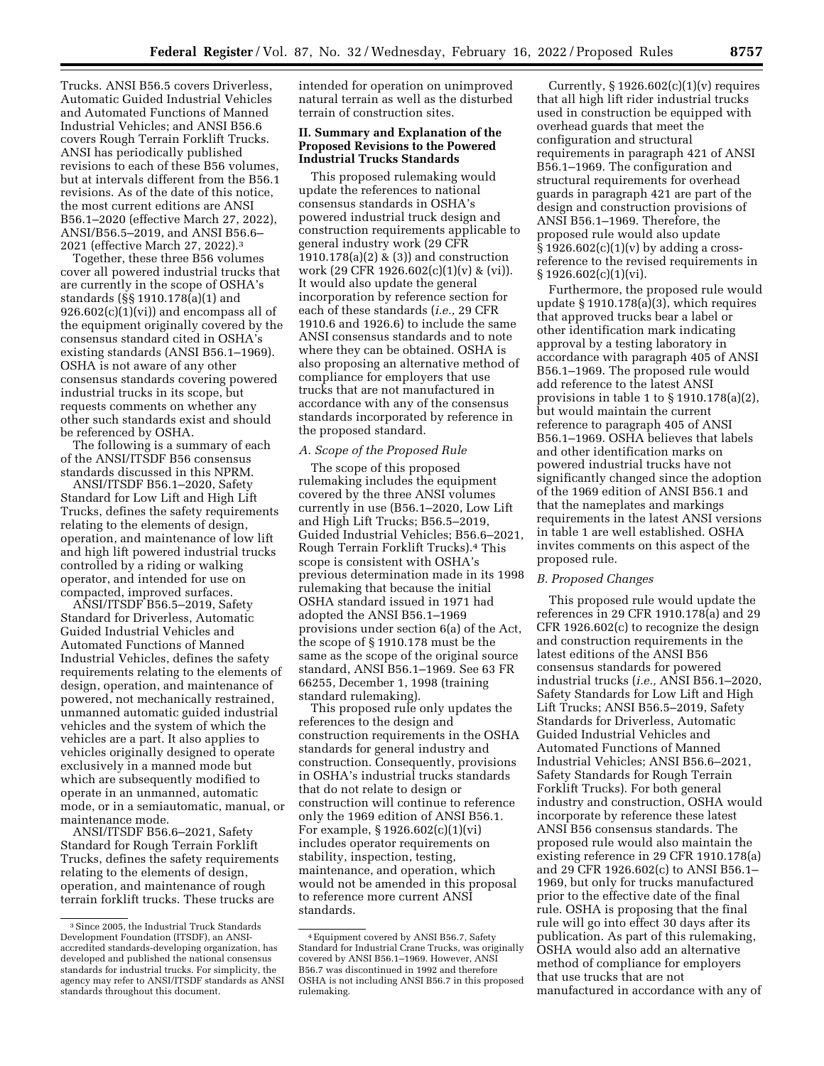Trucks. ANSI B56.5 covers Driverless, Automatic Guided Industrial Vehicles and Automated Functions of Manned Industrial Vehicles; and ANSI B56.6 covers Rough Terrain Forklift Trucks. ANSI has periodically published revisions to each of these B56 volumes, but at intervals different from the B56.1 revisions. As of the date of this notice, the most current editions are ANSI B56.1–2020 (effective March 27, 2022), ANSI/B56.5–2019, and ANSI B56.6– 2021 (effective March 27, 2022).3

Together, these three B56 volumes cover all powered industrial trucks that are currently in the scope of OSHA's standards (§§ 1910.178(a)(1) and  $926.602(c)(1)(vi)$  and encompass all of the equipment originally covered by the consensus standard cited in OSHA's existing standards (ANSI B56.1–1969). OSHA is not aware of any other consensus standards covering powered industrial trucks in its scope, but requests comments on whether any other such standards exist and should be referenced by OSHA.

The following is a summary of each of the ANSI/ITSDF B56 consensus standards discussed in this NPRM.

ANSI/ITSDF B56.1–2020, Safety Standard for Low Lift and High Lift Trucks, defines the safety requirements relating to the elements of design, operation, and maintenance of low lift and high lift powered industrial trucks controlled by a riding or walking operator, and intended for use on compacted, improved surfaces.

ANSI/ITSDF B56.5–2019, Safety Standard for Driverless, Automatic Guided Industrial Vehicles and Automated Functions of Manned Industrial Vehicles, defines the safety requirements relating to the elements of design, operation, and maintenance of powered, not mechanically restrained, unmanned automatic guided industrial vehicles and the system of which the vehicles are a part. It also applies to vehicles originally designed to operate exclusively in a manned mode but which are subsequently modified to operate in an unmanned, automatic mode, or in a semiautomatic, manual, or maintenance mode.

ANSI/ITSDF B56.6–2021, Safety Standard for Rough Terrain Forklift Trucks, defines the safety requirements relating to the elements of design, operation, and maintenance of rough terrain forklift trucks. These trucks are

intended for operation on unimproved natural terrain as well as the disturbed terrain of construction sites.

# **II. Summary and Explanation of the Proposed Revisions to the Powered Industrial Trucks Standards**

This proposed rulemaking would update the references to national consensus standards in OSHA's powered industrial truck design and construction requirements applicable to general industry work (29 CFR 1910.178(a)(2) & (3)) and construction work (29 CFR 1926.602(c)(1)(v) & (vi)). It would also update the general incorporation by reference section for each of these standards (*i.e.,* 29 CFR 1910.6 and 1926.6) to include the same ANSI consensus standards and to note where they can be obtained. OSHA is also proposing an alternative method of compliance for employers that use trucks that are not manufactured in accordance with any of the consensus standards incorporated by reference in the proposed standard.

#### *A. Scope of the Proposed Rule*

The scope of this proposed rulemaking includes the equipment covered by the three ANSI volumes currently in use (B56.1–2020, Low Lift and High Lift Trucks; B56.5–2019, Guided Industrial Vehicles; B56.6–2021, Rough Terrain Forklift Trucks).4 This scope is consistent with OSHA's previous determination made in its 1998 rulemaking that because the initial OSHA standard issued in 1971 had adopted the ANSI B56.1–1969 provisions under section 6(a) of the Act, the scope of § 1910.178 must be the same as the scope of the original source standard, ANSI B56.1–1969. See 63 FR 66255, December 1, 1998 (training standard rulemaking).

This proposed rule only updates the references to the design and construction requirements in the OSHA standards for general industry and construction. Consequently, provisions in OSHA's industrial trucks standards that do not relate to design or construction will continue to reference only the 1969 edition of ANSI B56.1. For example, § 1926.602(c)(1)(vi) includes operator requirements on stability, inspection, testing, maintenance, and operation, which would not be amended in this proposal to reference more current ANSI standards.

Currently,  $\S 1926.602(c)(1)(v)$  requires that all high lift rider industrial trucks used in construction be equipped with overhead guards that meet the configuration and structural requirements in paragraph 421 of ANSI B56.1–1969. The configuration and structural requirements for overhead guards in paragraph 421 are part of the design and construction provisions of ANSI B56.1–1969. Therefore, the proposed rule would also update  $\S 1926.602(c)(1)(v)$  by adding a crossreference to the revised requirements in  $§ 1926.602(c)(1)(vi).$ 

Furthermore, the proposed rule would update § 1910.178(a)(3), which requires that approved trucks bear a label or other identification mark indicating approval by a testing laboratory in accordance with paragraph 405 of ANSI B56.1–1969. The proposed rule would add reference to the latest ANSI provisions in table 1 to § 1910.178(a)(2), but would maintain the current reference to paragraph 405 of ANSI B56.1–1969. OSHA believes that labels and other identification marks on powered industrial trucks have not significantly changed since the adoption of the 1969 edition of ANSI B56.1 and that the nameplates and markings requirements in the latest ANSI versions in table 1 are well established. OSHA invites comments on this aspect of the proposed rule.

#### *B. Proposed Changes*

This proposed rule would update the references in 29 CFR 1910.178(a) and 29 CFR 1926.602(c) to recognize the design and construction requirements in the latest editions of the ANSI B56 consensus standards for powered industrial trucks (*i.e.,* ANSI B56.1–2020, Safety Standards for Low Lift and High Lift Trucks; ANSI B56.5–2019, Safety Standards for Driverless, Automatic Guided Industrial Vehicles and Automated Functions of Manned Industrial Vehicles; ANSI B56.6–2021, Safety Standards for Rough Terrain Forklift Trucks). For both general industry and construction, OSHA would incorporate by reference these latest ANSI B56 consensus standards. The proposed rule would also maintain the existing reference in 29 CFR 1910.178(a) and 29 CFR 1926.602(c) to ANSI B56.1– 1969, but only for trucks manufactured prior to the effective date of the final rule. OSHA is proposing that the final rule will go into effect 30 days after its publication. As part of this rulemaking, OSHA would also add an alternative method of compliance for employers that use trucks that are not manufactured in accordance with any of

<sup>3</sup>Since 2005, the Industrial Truck Standards Development Foundation (ITSDF), an ANSIaccredited standards-developing organization, has developed and published the national consensus standards for industrial trucks. For simplicity, the agency may refer to ANSI/ITSDF standards as ANSI standards throughout this document.

<sup>4</sup>Equipment covered by ANSI B56.7, Safety Standard for Industrial Crane Trucks, was originally covered by ANSI B56.1–1969. However, ANSI B56.7 was discontinued in 1992 and therefore OSHA is not including ANSI B56.7 in this proposed rulemaking.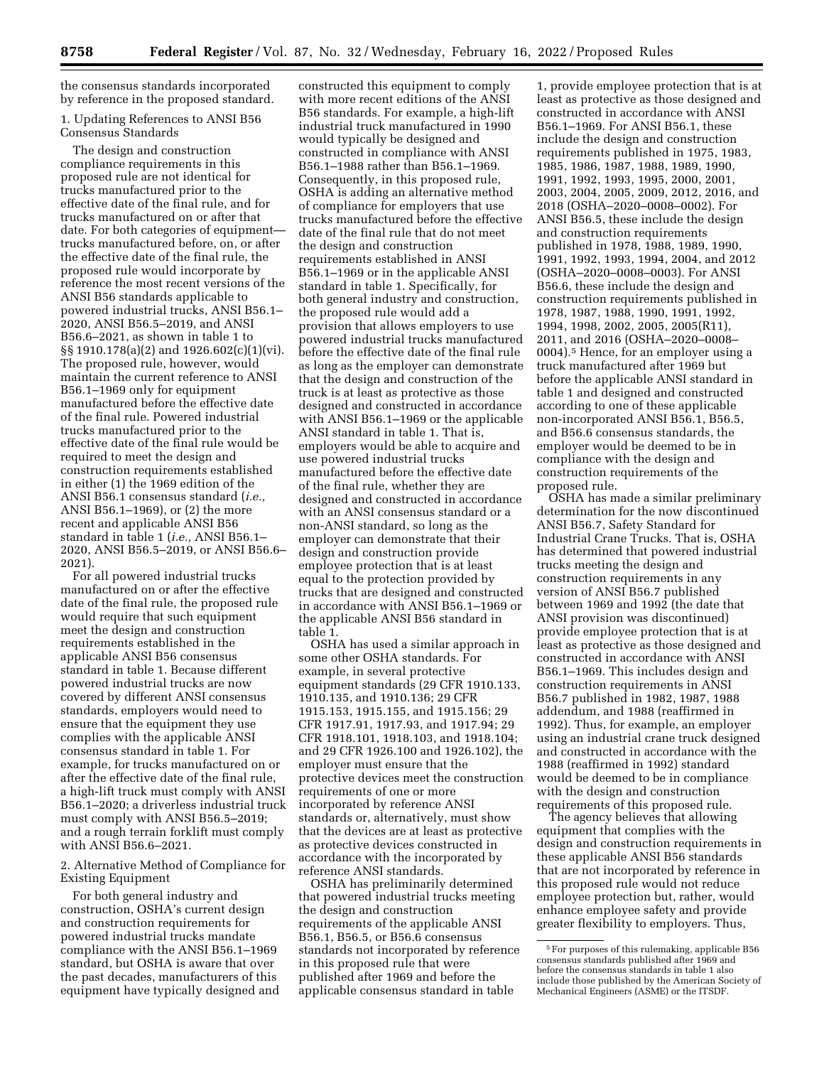the consensus standards incorporated by reference in the proposed standard.

# 1. Updating References to ANSI B56 Consensus Standards

The design and construction compliance requirements in this proposed rule are not identical for trucks manufactured prior to the effective date of the final rule, and for trucks manufactured on or after that date. For both categories of equipment trucks manufactured before, on, or after the effective date of the final rule, the proposed rule would incorporate by reference the most recent versions of the ANSI B56 standards applicable to powered industrial trucks, ANSI B56.1– 2020, ANSI B56.5–2019, and ANSI B56.6–2021, as shown in table 1 to §§ 1910.178(a)(2) and 1926.602(c)(1)(vi). The proposed rule, however, would maintain the current reference to ANSI B56.1–1969 only for equipment manufactured before the effective date of the final rule. Powered industrial trucks manufactured prior to the effective date of the final rule would be required to meet the design and construction requirements established in either (1) the 1969 edition of the ANSI B56.1 consensus standard (*i.e.,*  ANSI B56.1–1969), or (2) the more recent and applicable ANSI B56 standard in table 1 (*i.e.,* ANSI B56.1– 2020, ANSI B56.5–2019, or ANSI B56.6– 2021).

For all powered industrial trucks manufactured on or after the effective date of the final rule, the proposed rule would require that such equipment meet the design and construction requirements established in the applicable ANSI B56 consensus standard in table 1. Because different powered industrial trucks are now covered by different ANSI consensus standards, employers would need to ensure that the equipment they use complies with the applicable ANSI consensus standard in table 1. For example, for trucks manufactured on or after the effective date of the final rule, a high-lift truck must comply with ANSI B56.1–2020; a driverless industrial truck must comply with ANSI B56.5–2019; and a rough terrain forklift must comply with ANSI B56.6–2021.

2. Alternative Method of Compliance for Existing Equipment

For both general industry and construction, OSHA's current design and construction requirements for powered industrial trucks mandate compliance with the ANSI B56.1–1969 standard, but OSHA is aware that over the past decades, manufacturers of this equipment have typically designed and constructed this equipment to comply with more recent editions of the ANSI B56 standards. For example, a high-lift industrial truck manufactured in 1990 would typically be designed and constructed in compliance with ANSI B56.1–1988 rather than B56.1–1969. Consequently, in this proposed rule, OSHA is adding an alternative method of compliance for employers that use trucks manufactured before the effective date of the final rule that do not meet the design and construction requirements established in ANSI B56.1–1969 or in the applicable ANSI standard in table 1. Specifically, for both general industry and construction, the proposed rule would add a provision that allows employers to use powered industrial trucks manufactured before the effective date of the final rule as long as the employer can demonstrate that the design and construction of the truck is at least as protective as those designed and constructed in accordance with ANSI B56.1–1969 or the applicable ANSI standard in table 1. That is, employers would be able to acquire and use powered industrial trucks manufactured before the effective date of the final rule, whether they are designed and constructed in accordance with an ANSI consensus standard or a non-ANSI standard, so long as the employer can demonstrate that their design and construction provide employee protection that is at least equal to the protection provided by trucks that are designed and constructed in accordance with ANSI B56.1–1969 or the applicable ANSI B56 standard in table 1.

OSHA has used a similar approach in some other OSHA standards. For example, in several protective equipment standards (29 CFR 1910.133, 1910.135, and 1910.136; 29 CFR 1915.153, 1915.155, and 1915.156; 29 CFR 1917.91, 1917.93, and 1917.94; 29 CFR 1918.101, 1918.103, and 1918.104; and 29 CFR 1926.100 and 1926.102), the employer must ensure that the protective devices meet the construction requirements of one or more incorporated by reference ANSI standards or, alternatively, must show that the devices are at least as protective as protective devices constructed in accordance with the incorporated by reference ANSI standards.

OSHA has preliminarily determined that powered industrial trucks meeting the design and construction requirements of the applicable ANSI B56.1, B56.5, or B56.6 consensus standards not incorporated by reference in this proposed rule that were published after 1969 and before the applicable consensus standard in table

1, provide employee protection that is at least as protective as those designed and constructed in accordance with ANSI B56.1–1969. For ANSI B56.1, these include the design and construction requirements published in 1975, 1983, 1985, 1986, 1987, 1988, 1989, 1990, 1991, 1992, 1993, 1995, 2000, 2001, 2003, 2004, 2005, 2009, 2012, 2016, and 2018 (OSHA–2020–0008–0002). For ANSI B56.5, these include the design and construction requirements published in 1978, 1988, 1989, 1990, 1991, 1992, 1993, 1994, 2004, and 2012 (OSHA–2020–0008–0003). For ANSI B56.6, these include the design and construction requirements published in 1978, 1987, 1988, 1990, 1991, 1992, 1994, 1998, 2002, 2005, 2005(R11), 2011, and 2016 (OSHA–2020–0008– 0004).5 Hence, for an employer using a truck manufactured after 1969 but before the applicable ANSI standard in table 1 and designed and constructed according to one of these applicable non-incorporated ANSI B56.1, B56.5, and B56.6 consensus standards, the employer would be deemed to be in compliance with the design and construction requirements of the proposed rule.

OSHA has made a similar preliminary determination for the now discontinued ANSI B56.7, Safety Standard for Industrial Crane Trucks. That is, OSHA has determined that powered industrial trucks meeting the design and construction requirements in any version of ANSI B56.7 published between 1969 and 1992 (the date that ANSI provision was discontinued) provide employee protection that is at least as protective as those designed and constructed in accordance with ANSI B56.1–1969. This includes design and construction requirements in ANSI B56.7 published in 1982, 1987, 1988 addendum, and 1988 (reaffirmed in 1992). Thus, for example, an employer using an industrial crane truck designed and constructed in accordance with the 1988 (reaffirmed in 1992) standard would be deemed to be in compliance with the design and construction requirements of this proposed rule.

The agency believes that allowing equipment that complies with the design and construction requirements in these applicable ANSI B56 standards that are not incorporated by reference in this proposed rule would not reduce employee protection but, rather, would enhance employee safety and provide greater flexibility to employers. Thus,

<sup>5</sup>For purposes of this rulemaking, applicable B56 consensus standards published after 1969 and before the consensus standards in table 1 also include those published by the American Society of Mechanical Engineers (ASME) or the ITSDF.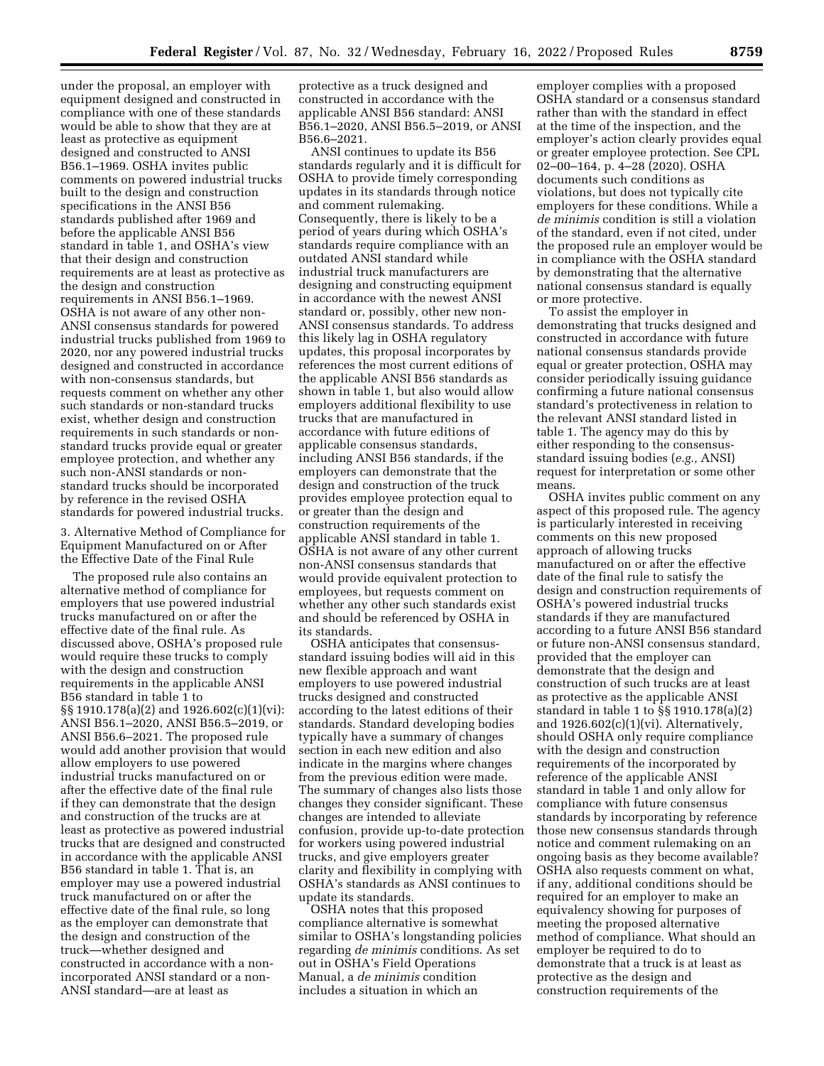under the proposal, an employer with equipment designed and constructed in compliance with one of these standards would be able to show that they are at least as protective as equipment designed and constructed to ANSI B56.1–1969. OSHA invites public comments on powered industrial trucks built to the design and construction specifications in the ANSI B56 standards published after 1969 and before the applicable ANSI B56 standard in table 1, and OSHA's view that their design and construction requirements are at least as protective as the design and construction requirements in ANSI B56.1–1969. OSHA is not aware of any other non-ANSI consensus standards for powered industrial trucks published from 1969 to 2020, nor any powered industrial trucks designed and constructed in accordance with non-consensus standards, but requests comment on whether any other such standards or non-standard trucks exist, whether design and construction requirements in such standards or nonstandard trucks provide equal or greater employee protection, and whether any such non-ANSI standards or nonstandard trucks should be incorporated by reference in the revised OSHA standards for powered industrial trucks.

3. Alternative Method of Compliance for Equipment Manufactured on or After the Effective Date of the Final Rule

The proposed rule also contains an alternative method of compliance for employers that use powered industrial trucks manufactured on or after the effective date of the final rule. As discussed above, OSHA's proposed rule would require these trucks to comply with the design and construction requirements in the applicable ANSI B56 standard in table 1 to §§ 1910.178(a)(2) and 1926.602(c)(1)(vi): ANSI B56.1–2020, ANSI B56.5–2019, or ANSI B56.6–2021. The proposed rule would add another provision that would allow employers to use powered industrial trucks manufactured on or after the effective date of the final rule if they can demonstrate that the design and construction of the trucks are at least as protective as powered industrial trucks that are designed and constructed in accordance with the applicable ANSI B56 standard in table 1. That is, an employer may use a powered industrial truck manufactured on or after the effective date of the final rule, so long as the employer can demonstrate that the design and construction of the truck—whether designed and constructed in accordance with a nonincorporated ANSI standard or a non-ANSI standard—are at least as

protective as a truck designed and constructed in accordance with the applicable ANSI B56 standard: ANSI B56.1–2020, ANSI B56.5–2019, or ANSI B56.6–2021.

ANSI continues to update its B56 standards regularly and it is difficult for OSHA to provide timely corresponding updates in its standards through notice and comment rulemaking. Consequently, there is likely to be a period of years during which OSHA's standards require compliance with an outdated ANSI standard while industrial truck manufacturers are designing and constructing equipment in accordance with the newest ANSI standard or, possibly, other new non-ANSI consensus standards. To address this likely lag in OSHA regulatory updates, this proposal incorporates by references the most current editions of the applicable ANSI B56 standards as shown in table 1, but also would allow employers additional flexibility to use trucks that are manufactured in accordance with future editions of applicable consensus standards, including ANSI B56 standards, if the employers can demonstrate that the design and construction of the truck provides employee protection equal to or greater than the design and construction requirements of the applicable ANSI standard in table 1. OSHA is not aware of any other current non-ANSI consensus standards that would provide equivalent protection to employees, but requests comment on whether any other such standards exist and should be referenced by OSHA in its standards.

OSHA anticipates that consensusstandard issuing bodies will aid in this new flexible approach and want employers to use powered industrial trucks designed and constructed according to the latest editions of their standards. Standard developing bodies typically have a summary of changes section in each new edition and also indicate in the margins where changes from the previous edition were made. The summary of changes also lists those changes they consider significant. These changes are intended to alleviate confusion, provide up-to-date protection for workers using powered industrial trucks, and give employers greater clarity and flexibility in complying with OSHA's standards as ANSI continues to update its standards.

OSHA notes that this proposed compliance alternative is somewhat similar to OSHA's longstanding policies regarding *de minimis* conditions. As set out in OSHA's Field Operations Manual, a *de minimis* condition includes a situation in which an

employer complies with a proposed OSHA standard or a consensus standard rather than with the standard in effect at the time of the inspection, and the employer's action clearly provides equal or greater employee protection. See CPL 02–00–164, p. 4–28 (2020). OSHA documents such conditions as violations, but does not typically cite employers for these conditions. While a *de minimis* condition is still a violation of the standard, even if not cited, under the proposed rule an employer would be in compliance with the OSHA standard by demonstrating that the alternative national consensus standard is equally or more protective.

To assist the employer in demonstrating that trucks designed and constructed in accordance with future national consensus standards provide equal or greater protection, OSHA may consider periodically issuing guidance confirming a future national consensus standard's protectiveness in relation to the relevant ANSI standard listed in table 1. The agency may do this by either responding to the consensusstandard issuing bodies (*e.g.,* ANSI) request for interpretation or some other means.

OSHA invites public comment on any aspect of this proposed rule. The agency is particularly interested in receiving comments on this new proposed approach of allowing trucks manufactured on or after the effective date of the final rule to satisfy the design and construction requirements of OSHA's powered industrial trucks standards if they are manufactured according to a future ANSI B56 standard or future non-ANSI consensus standard, provided that the employer can demonstrate that the design and construction of such trucks are at least as protective as the applicable ANSI standard in table 1 to §§ 1910.178(a)(2) and  $1926.602(c)(1)(vi)$ . Alternatively, should OSHA only require compliance with the design and construction requirements of the incorporated by reference of the applicable ANSI standard in table 1 and only allow for compliance with future consensus standards by incorporating by reference those new consensus standards through notice and comment rulemaking on an ongoing basis as they become available? OSHA also requests comment on what, if any, additional conditions should be required for an employer to make an equivalency showing for purposes of meeting the proposed alternative method of compliance. What should an employer be required to do to demonstrate that a truck is at least as protective as the design and construction requirements of the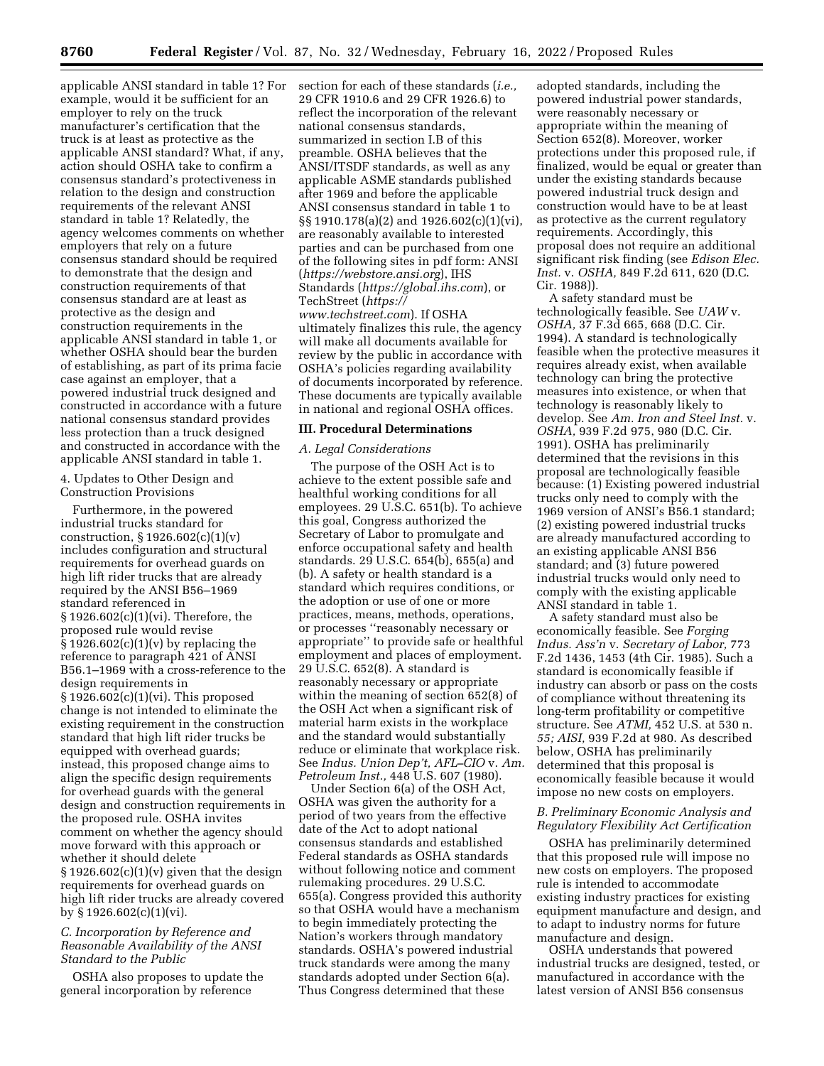applicable ANSI standard in table 1? For section for each of these standards (*i.e.,*  example, would it be sufficient for an employer to rely on the truck manufacturer's certification that the truck is at least as protective as the applicable ANSI standard? What, if any, action should OSHA take to confirm a consensus standard's protectiveness in relation to the design and construction requirements of the relevant ANSI standard in table 1? Relatedly, the agency welcomes comments on whether employers that rely on a future consensus standard should be required to demonstrate that the design and construction requirements of that consensus standard are at least as protective as the design and construction requirements in the applicable ANSI standard in table 1, or whether OSHA should bear the burden of establishing, as part of its prima facie case against an employer, that a powered industrial truck designed and constructed in accordance with a future national consensus standard provides less protection than a truck designed and constructed in accordance with the applicable ANSI standard in table 1.

4. Updates to Other Design and Construction Provisions

Furthermore, in the powered industrial trucks standard for construction,  $\S 1926.602(c)(1)(v)$ includes configuration and structural requirements for overhead guards on high lift rider trucks that are already required by the ANSI B56–1969 standard referenced in § 1926.602(c)(1)(vi). Therefore, the proposed rule would revise  $\S 1926.602(c)(1)(v)$  by replacing the reference to paragraph 421 of ANSI B56.1–1969 with a cross-reference to the design requirements in § 1926.602(c)(1)(vi). This proposed change is not intended to eliminate the existing requirement in the construction standard that high lift rider trucks be equipped with overhead guards; instead, this proposed change aims to align the specific design requirements for overhead guards with the general design and construction requirements in the proposed rule. OSHA invites comment on whether the agency should move forward with this approach or whether it should delete  $\S 1926.602(c)(1)(v)$  given that the design requirements for overhead guards on high lift rider trucks are already covered by § 1926.602(c)(1)(vi).

#### *C. Incorporation by Reference and Reasonable Availability of the ANSI Standard to the Public*

OSHA also proposes to update the general incorporation by reference

29 CFR 1910.6 and 29 CFR 1926.6) to reflect the incorporation of the relevant national consensus standards, summarized in section I.B of this preamble. OSHA believes that the ANSI/ITSDF standards, as well as any applicable ASME standards published after 1969 and before the applicable ANSI consensus standard in table 1 to §§ 1910.178(a)(2) and 1926.602(c)(1)(vi), are reasonably available to interested parties and can be purchased from one of the following sites in pdf form: ANSI (*<https://webstore.ansi.org>*), IHS Standards (*<https://global.ihs.com>*), or TechStreet (*[https://](https://www.techstreet.com) [www.techstreet.com](https://www.techstreet.com)*). If OSHA ultimately finalizes this rule, the agency will make all documents available for review by the public in accordance with OSHA's policies regarding availability of documents incorporated by reference. These documents are typically available in national and regional OSHA offices.

#### **III. Procedural Determinations**

# *A. Legal Considerations*

The purpose of the OSH Act is to achieve to the extent possible safe and healthful working conditions for all employees. 29 U.S.C. 651(b). To achieve this goal, Congress authorized the Secretary of Labor to promulgate and enforce occupational safety and health standards. 29 U.S.C. 654(b), 655(a) and (b). A safety or health standard is a standard which requires conditions, or the adoption or use of one or more practices, means, methods, operations, or processes ''reasonably necessary or appropriate'' to provide safe or healthful employment and places of employment. 29 U.S.C. 652(8). A standard is reasonably necessary or appropriate within the meaning of section 652(8) of the OSH Act when a significant risk of material harm exists in the workplace and the standard would substantially reduce or eliminate that workplace risk. See *Indus. Union Dep't, AFL–CIO* v. *Am. Petroleum Inst.,* 448 U.S. 607 (1980).

Under Section 6(a) of the OSH Act, OSHA was given the authority for a period of two years from the effective date of the Act to adopt national consensus standards and established Federal standards as OSHA standards without following notice and comment rulemaking procedures. 29 U.S.C. 655(a). Congress provided this authority so that OSHA would have a mechanism to begin immediately protecting the Nation's workers through mandatory standards. OSHA's powered industrial truck standards were among the many standards adopted under Section 6(a). Thus Congress determined that these

adopted standards, including the powered industrial power standards, were reasonably necessary or appropriate within the meaning of Section 652(8). Moreover, worker protections under this proposed rule, if finalized, would be equal or greater than under the existing standards because powered industrial truck design and construction would have to be at least as protective as the current regulatory requirements. Accordingly, this proposal does not require an additional significant risk finding (see *Edison Elec. Inst.* v. *OSHA,* 849 F.2d 611, 620 (D.C. Cir. 1988)).

A safety standard must be technologically feasible. See *UAW* v. *OSHA,* 37 F.3d 665, 668 (D.C. Cir. 1994). A standard is technologically feasible when the protective measures it requires already exist, when available technology can bring the protective measures into existence, or when that technology is reasonably likely to develop. See *Am. Iron and Steel Inst.* v. *OSHA,* 939 F.2d 975, 980 (D.C. Cir. 1991). OSHA has preliminarily determined that the revisions in this proposal are technologically feasible because: (1) Existing powered industrial trucks only need to comply with the 1969 version of ANSI's B56.1 standard; (2) existing powered industrial trucks are already manufactured according to an existing applicable ANSI B56 standard; and (3) future powered industrial trucks would only need to comply with the existing applicable ANSI standard in table 1.

A safety standard must also be economically feasible. See *Forging Indus. Ass'n* v. *Secretary of Labor,* 773 F.2d 1436, 1453 (4th Cir. 1985). Such a standard is economically feasible if industry can absorb or pass on the costs of compliance without threatening its long-term profitability or competitive structure. See *ATMI,* 452 U.S. at 530 n. *55; AISI,* 939 F.2d at 980. As described below, OSHA has preliminarily determined that this proposal is economically feasible because it would impose no new costs on employers.

# *B. Preliminary Economic Analysis and Regulatory Flexibility Act Certification*

OSHA has preliminarily determined that this proposed rule will impose no new costs on employers. The proposed rule is intended to accommodate existing industry practices for existing equipment manufacture and design, and to adapt to industry norms for future manufacture and design.

OSHA understands that powered industrial trucks are designed, tested, or manufactured in accordance with the latest version of ANSI B56 consensus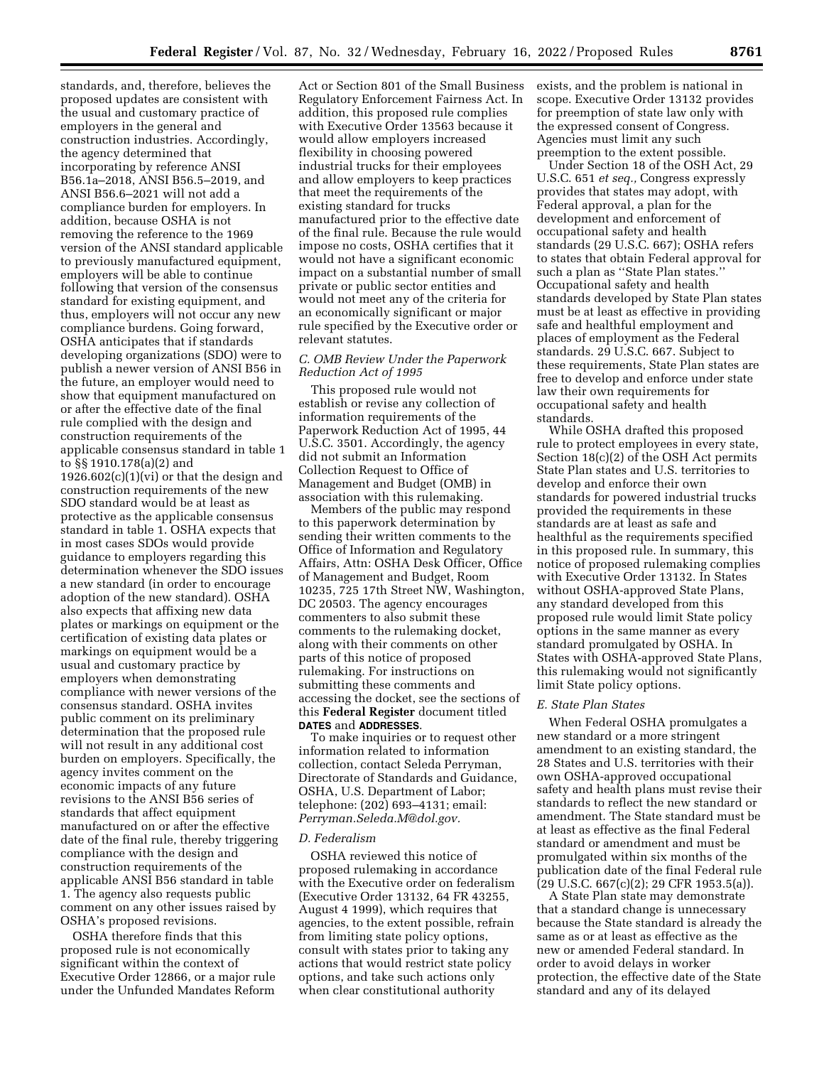standards, and, therefore, believes the proposed updates are consistent with the usual and customary practice of employers in the general and construction industries. Accordingly, the agency determined that incorporating by reference ANSI B56.1a–2018, ANSI B56.5–2019, and ANSI B56.6–2021 will not add a compliance burden for employers. In addition, because OSHA is not removing the reference to the 1969 version of the ANSI standard applicable to previously manufactured equipment, employers will be able to continue following that version of the consensus standard for existing equipment, and thus, employers will not occur any new compliance burdens. Going forward, OSHA anticipates that if standards developing organizations (SDO) were to publish a newer version of ANSI B56 in the future, an employer would need to show that equipment manufactured on or after the effective date of the final rule complied with the design and construction requirements of the applicable consensus standard in table 1 to §§ 1910.178(a)(2) and  $1926.602(c)(1)(vi)$  or that the design and construction requirements of the new SDO standard would be at least as protective as the applicable consensus standard in table 1. OSHA expects that in most cases SDOs would provide guidance to employers regarding this determination whenever the SDO issues a new standard (in order to encourage adoption of the new standard). OSHA also expects that affixing new data plates or markings on equipment or the certification of existing data plates or markings on equipment would be a usual and customary practice by employers when demonstrating compliance with newer versions of the consensus standard. OSHA invites public comment on its preliminary determination that the proposed rule will not result in any additional cost burden on employers. Specifically, the agency invites comment on the economic impacts of any future revisions to the ANSI B56 series of standards that affect equipment manufactured on or after the effective date of the final rule, thereby triggering compliance with the design and construction requirements of the applicable ANSI B56 standard in table 1. The agency also requests public comment on any other issues raised by OSHA's proposed revisions.

OSHA therefore finds that this proposed rule is not economically significant within the context of Executive Order 12866, or a major rule under the Unfunded Mandates Reform

Act or Section 801 of the Small Business Regulatory Enforcement Fairness Act. In addition, this proposed rule complies with Executive Order 13563 because it would allow employers increased flexibility in choosing powered industrial trucks for their employees and allow employers to keep practices that meet the requirements of the existing standard for trucks manufactured prior to the effective date of the final rule. Because the rule would impose no costs, OSHA certifies that it would not have a significant economic impact on a substantial number of small private or public sector entities and would not meet any of the criteria for an economically significant or major rule specified by the Executive order or relevant statutes.

#### *C. OMB Review Under the Paperwork Reduction Act of 1995*

This proposed rule would not establish or revise any collection of information requirements of the Paperwork Reduction Act of 1995, 44 U.S.C. 3501. Accordingly, the agency did not submit an Information Collection Request to Office of Management and Budget (OMB) in association with this rulemaking.

Members of the public may respond to this paperwork determination by sending their written comments to the Office of Information and Regulatory Affairs, Attn: OSHA Desk Officer, Office of Management and Budget, Room 10235, 725 17th Street NW, Washington, DC 20503. The agency encourages commenters to also submit these comments to the rulemaking docket, along with their comments on other parts of this notice of proposed rulemaking. For instructions on submitting these comments and accessing the docket, see the sections of this **Federal Register** document titled **DATES** and **ADDRESSES**.

To make inquiries or to request other information related to information collection, contact Seleda Perryman, Directorate of Standards and Guidance, OSHA, U.S. Department of Labor; telephone: (202) 693–4131; email: *[Perryman.Seleda.M@dol.gov.](mailto:Perryman.Seleda.M@dol.gov)* 

#### *D. Federalism*

OSHA reviewed this notice of proposed rulemaking in accordance with the Executive order on federalism (Executive Order 13132, 64 FR 43255, August 4 1999), which requires that agencies, to the extent possible, refrain from limiting state policy options, consult with states prior to taking any actions that would restrict state policy options, and take such actions only when clear constitutional authority

exists, and the problem is national in scope. Executive Order 13132 provides for preemption of state law only with the expressed consent of Congress. Agencies must limit any such preemption to the extent possible.

Under Section 18 of the OSH Act, 29 U.S.C. 651 *et seq.,* Congress expressly provides that states may adopt, with Federal approval, a plan for the development and enforcement of occupational safety and health standards (29 U.S.C. 667); OSHA refers to states that obtain Federal approval for such a plan as ''State Plan states.'' Occupational safety and health standards developed by State Plan states must be at least as effective in providing safe and healthful employment and places of employment as the Federal standards. 29 U.S.C. 667. Subject to these requirements, State Plan states are free to develop and enforce under state law their own requirements for occupational safety and health standards.

While OSHA drafted this proposed rule to protect employees in every state, Section 18(c)(2) of the OSH Act permits State Plan states and U.S. territories to develop and enforce their own standards for powered industrial trucks provided the requirements in these standards are at least as safe and healthful as the requirements specified in this proposed rule. In summary, this notice of proposed rulemaking complies with Executive Order 13132. In States without OSHA-approved State Plans, any standard developed from this proposed rule would limit State policy options in the same manner as every standard promulgated by OSHA. In States with OSHA-approved State Plans, this rulemaking would not significantly limit State policy options.

#### *E. State Plan States*

When Federal OSHA promulgates a new standard or a more stringent amendment to an existing standard, the 28 States and U.S. territories with their own OSHA-approved occupational safety and health plans must revise their standards to reflect the new standard or amendment. The State standard must be at least as effective as the final Federal standard or amendment and must be promulgated within six months of the publication date of the final Federal rule (29 U.S.C. 667(c)(2); 29 CFR 1953.5(a)).

A State Plan state may demonstrate that a standard change is unnecessary because the State standard is already the same as or at least as effective as the new or amended Federal standard. In order to avoid delays in worker protection, the effective date of the State standard and any of its delayed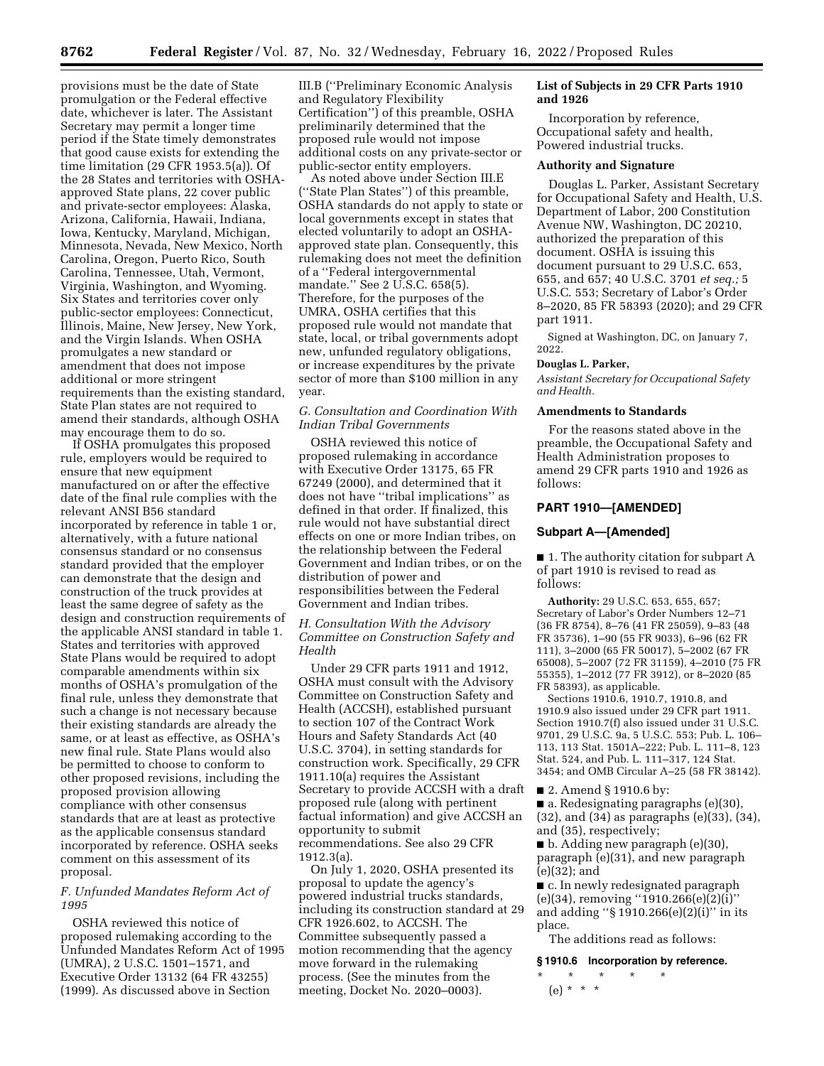provisions must be the date of State promulgation or the Federal effective date, whichever is later. The Assistant Secretary may permit a longer time period if the State timely demonstrates that good cause exists for extending the time limitation (29 CFR 1953.5(a)). Of the 28 States and territories with OSHAapproved State plans, 22 cover public and private-sector employees: Alaska, Arizona, California, Hawaii, Indiana, Iowa, Kentucky, Maryland, Michigan, Minnesota, Nevada, New Mexico, North Carolina, Oregon, Puerto Rico, South Carolina, Tennessee, Utah, Vermont, Virginia, Washington, and Wyoming. Six States and territories cover only public-sector employees: Connecticut, Illinois, Maine, New Jersey, New York, and the Virgin Islands. When OSHA promulgates a new standard or amendment that does not impose additional or more stringent requirements than the existing standard, State Plan states are not required to amend their standards, although OSHA may encourage them to do so.

If OSHA promulgates this proposed rule, employers would be required to ensure that new equipment manufactured on or after the effective date of the final rule complies with the relevant ANSI B56 standard incorporated by reference in table 1 or, alternatively, with a future national consensus standard or no consensus standard provided that the employer can demonstrate that the design and construction of the truck provides at least the same degree of safety as the design and construction requirements of the applicable ANSI standard in table 1. States and territories with approved State Plans would be required to adopt comparable amendments within six months of OSHA's promulgation of the final rule, unless they demonstrate that such a change is not necessary because their existing standards are already the same, or at least as effective, as OSHA's new final rule. State Plans would also be permitted to choose to conform to other proposed revisions, including the proposed provision allowing compliance with other consensus standards that are at least as protective as the applicable consensus standard incorporated by reference. OSHA seeks comment on this assessment of its proposal.

# *F. Unfunded Mandates Reform Act of 1995*

OSHA reviewed this notice of proposed rulemaking according to the Unfunded Mandates Reform Act of 1995 (UMRA), 2 U.S.C. 1501–1571, and Executive Order 13132 (64 FR 43255) (1999). As discussed above in Section

III.B (''Preliminary Economic Analysis and Regulatory Flexibility Certification'') of this preamble, OSHA preliminarily determined that the proposed rule would not impose additional costs on any private-sector or public-sector entity employers.

As noted above under Section III.E (''State Plan States'') of this preamble, OSHA standards do not apply to state or local governments except in states that elected voluntarily to adopt an OSHAapproved state plan. Consequently, this rulemaking does not meet the definition of a ''Federal intergovernmental mandate.'' See 2 U.S.C. 658(5). Therefore, for the purposes of the UMRA, OSHA certifies that this proposed rule would not mandate that state, local, or tribal governments adopt new, unfunded regulatory obligations, or increase expenditures by the private sector of more than \$100 million in any year.

#### *G. Consultation and Coordination With Indian Tribal Governments*

OSHA reviewed this notice of proposed rulemaking in accordance with Executive Order 13175, 65 FR 67249 (2000), and determined that it does not have ''tribal implications'' as defined in that order. If finalized, this rule would not have substantial direct effects on one or more Indian tribes, on the relationship between the Federal Government and Indian tribes, or on the distribution of power and responsibilities between the Federal Government and Indian tribes.

# *H. Consultation With the Advisory Committee on Construction Safety and Health*

Under 29 CFR parts 1911 and 1912, OSHA must consult with the Advisory Committee on Construction Safety and Health (ACCSH), established pursuant to section 107 of the Contract Work Hours and Safety Standards Act (40 U.S.C. 3704), in setting standards for construction work. Specifically, 29 CFR 1911.10(a) requires the Assistant Secretary to provide ACCSH with a draft proposed rule (along with pertinent factual information) and give ACCSH an opportunity to submit recommendations. See also 29 CFR 1912.3(a).

On July 1, 2020, OSHA presented its proposal to update the agency's powered industrial trucks standards, including its construction standard at 29 CFR 1926.602, to ACCSH. The Committee subsequently passed a motion recommending that the agency move forward in the rulemaking process. (See the minutes from the meeting, Docket No. 2020–0003).

# **List of Subjects in 29 CFR Parts 1910 and 1926**

Incorporation by reference, Occupational safety and health, Powered industrial trucks.

#### **Authority and Signature**

Douglas L. Parker, Assistant Secretary for Occupational Safety and Health, U.S. Department of Labor, 200 Constitution Avenue NW, Washington, DC 20210, authorized the preparation of this document. OSHA is issuing this document pursuant to 29 U.S.C. 653, 655, and 657; 40 U.S.C. 3701 *et seq.;* 5 U.S.C. 553; Secretary of Labor's Order 8–2020, 85 FR 58393 (2020); and 29 CFR part 1911.

Signed at Washington, DC, on January 7, 2022.

#### **Douglas L. Parker,**

*Assistant Secretary for Occupational Safety and Health.* 

#### **Amendments to Standards**

For the reasons stated above in the preamble, the Occupational Safety and Health Administration proposes to amend 29 CFR parts 1910 and 1926 as follows:

# **PART 1910—[AMENDED]**

#### **Subpart A—[Amended]**

■ 1. The authority citation for subpart A of part 1910 is revised to read as follows:

**Authority:** 29 U.S.C. 653, 655, 657; Secretary of Labor's Order Numbers 12–71 (36 FR 8754), 8–76 (41 FR 25059), 9–83 (48 FR 35736), 1–90 (55 FR 9033), 6–96 (62 FR 111), 3–2000 (65 FR 50017), 5–2002 (67 FR 65008), 5–2007 (72 FR 31159), 4–2010 (75 FR 55355), 1–2012 (77 FR 3912), or 8–2020 (85 FR 58393), as applicable.

Sections 1910.6, 1910.7, 1910.8, and 1910.9 also issued under 29 CFR part 1911. Section 1910.7(f) also issued under 31 U.S.C. 9701, 29 U.S.C. 9a, 5 U.S.C. 553; Pub. L. 106– 113, 113 Stat. 1501A–222; Pub. L. 111–8, 123 Stat. 524, and Pub. L. 111–317, 124 Stat. 3454; and OMB Circular A–25 (58 FR 38142).

■ 2. Amend § 1910.6 by:

■ a. Redesignating paragraphs (e)(30), (32), and (34) as paragraphs (e)(33), (34), and (35), respectively;

■ b. Adding new paragraph (e)(30), paragraph (e)(31), and new paragraph (e)(32); and

■ c. In newly redesignated paragraph  $(e)(34)$ , removing "1910.266 $(e)(2)(i)$ " and adding ''§ 1910.266(e)(2)(i)'' in its place.

The additions read as follows:

#### **§ 1910.6 Incorporation by reference.**

\* \* \* \* \*  $(e) * * * *$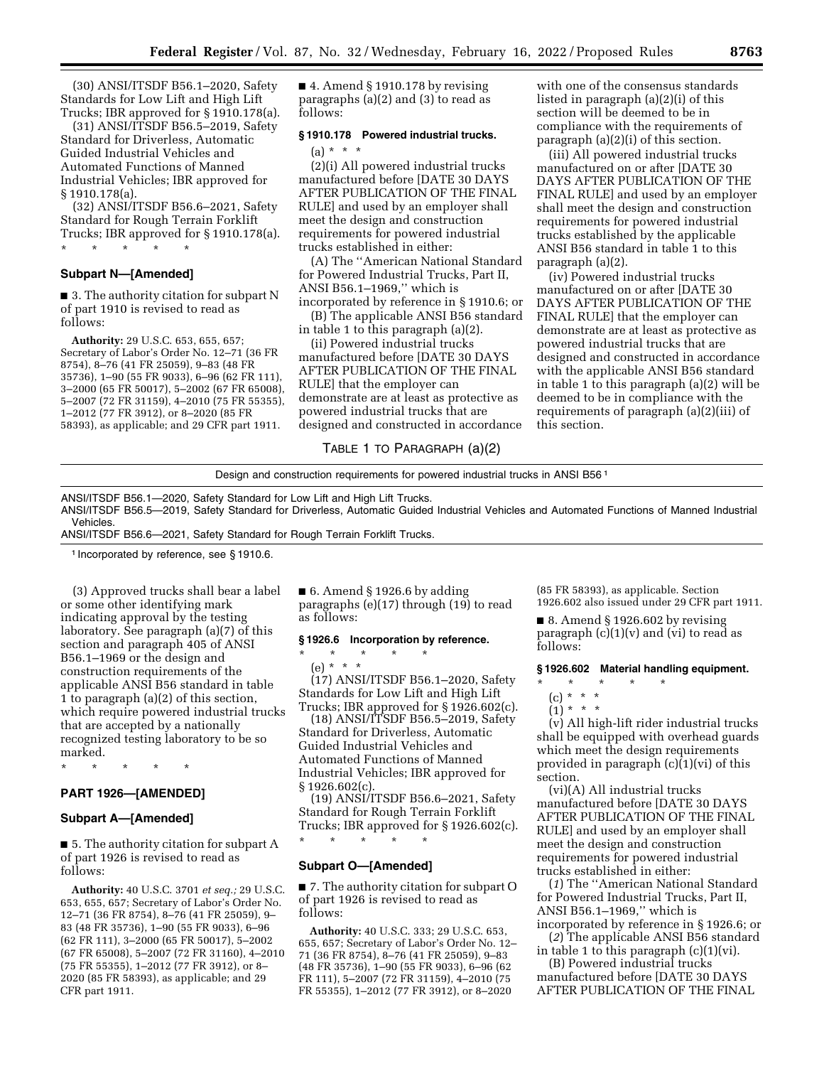(30) ANSI/ITSDF B56.1–2020, Safety Standards for Low Lift and High Lift Trucks; IBR approved for § 1910.178(a).

(31) ANSI/ITSDF B56.5–2019, Safety Standard for Driverless, Automatic Guided Industrial Vehicles and Automated Functions of Manned Industrial Vehicles; IBR approved for § 1910.178(a).

(32) ANSI/ITSDF B56.6–2021, Safety Standard for Rough Terrain Forklift Trucks; IBR approved for § 1910.178(a). \* \* \* \* \*

# **Subpart N—[Amended]**

■ 3. The authority citation for subpart N of part 1910 is revised to read as follows:

**Authority:** 29 U.S.C. 653, 655, 657; Secretary of Labor's Order No. 12–71 (36 FR 8754), 8–76 (41 FR 25059), 9–83 (48 FR 35736), 1–90 (55 FR 9033), 6–96 (62 FR 111), 3–2000 (65 FR 50017), 5–2002 (67 FR 65008), 5–2007 (72 FR 31159), 4–2010 (75 FR 55355), 1–2012 (77 FR 3912), or 8–2020 (85 FR 58393), as applicable; and 29 CFR part 1911.

 $\blacksquare$  4. Amend § 1910.178 by revising paragraphs (a)(2) and (3) to read as follows:

#### **§ 1910.178 Powered industrial trucks.**

# $(a) * * * *$

(2)(i) All powered industrial trucks manufactured before [DATE 30 DAYS AFTER PUBLICATION OF THE FINAL RULE] and used by an employer shall meet the design and construction requirements for powered industrial trucks established in either:

(A) The ''American National Standard for Powered Industrial Trucks, Part II, ANSI B56.1–1969,'' which is

incorporated by reference in § 1910.6; or (B) The applicable ANSI B56 standard in table 1 to this paragraph (a)(2).

(ii) Powered industrial trucks

manufactured before [DATE 30 DAYS AFTER PUBLICATION OF THE FINAL RULE] that the employer can demonstrate are at least as protective as powered industrial trucks that are designed and constructed in accordance with one of the consensus standards listed in paragraph (a)(2)(i) of this section will be deemed to be in compliance with the requirements of paragraph (a)(2)(i) of this section.

(iii) All powered industrial trucks manufactured on or after [DATE 30 DAYS AFTER PUBLICATION OF THE FINAL RULE] and used by an employer shall meet the design and construction requirements for powered industrial trucks established by the applicable ANSI B56 standard in table 1 to this paragraph (a)(2).

(iv) Powered industrial trucks manufactured on or after [DATE 30 DAYS AFTER PUBLICATION OF THE FINAL RULE] that the employer can demonstrate are at least as protective as powered industrial trucks that are designed and constructed in accordance with the applicable ANSI B56 standard in table 1 to this paragraph (a)(2) will be deemed to be in compliance with the requirements of paragraph (a)(2)(iii) of this section.

# TABLE 1 TO PARAGRAPH (a)(2)

Design and construction requirements for powered industrial trucks in ANSI B56 1 ANSI/ITSDF B56.1—2020, Safety Standard for Low Lift and High Lift Trucks.

ANSI/ITSDF B56.5—2019, Safety Standard for Driverless, Automatic Guided Industrial Vehicles and Automated Functions of Manned Industrial **Vehicles** 

ANSI/ITSDF B56.6—2021, Safety Standard for Rough Terrain Forklift Trucks.

1 Incorporated by reference, see § 1910.6.

(3) Approved trucks shall bear a label or some other identifying mark indicating approval by the testing laboratory. See paragraph (a)(7) of this section and paragraph 405 of ANSI B56.1–1969 or the design and construction requirements of the applicable ANSI B56 standard in table 1 to paragraph (a)(2) of this section, which require powered industrial trucks that are accepted by a nationally recognized testing laboratory to be so marked.

\* \* \* \* \*

# **PART 1926—[AMENDED]**

#### **Subpart A—[Amended]**

■ 5. The authority citation for subpart A of part 1926 is revised to read as follows:

**Authority:** 40 U.S.C. 3701 *et seq.;* 29 U.S.C. 653, 655, 657; Secretary of Labor's Order No. 12–71 (36 FR 8754), 8–76 (41 FR 25059), 9– 83 (48 FR 35736), 1–90 (55 FR 9033), 6–96 (62 FR 111), 3–2000 (65 FR 50017), 5–2002 (67 FR 65008), 5–2007 (72 FR 31160), 4–2010 (75 FR 55355), 1–2012 (77 FR 3912), or 8– 2020 (85 FR 58393), as applicable; and 29 CFR part 1911.

 $\blacksquare$  6. Amend § 1926.6 by adding paragraphs (e)(17) through (19) to read as follows:

#### **§ 1926.6 Incorporation by reference.**

# \* \* \* \* \* (e) \* \* \* (17) ANSI/ITSDF B56.1–2020, Safety Standards for Low Lift and High Lift

Trucks; IBR approved for § 1926.602(c). (18) ANSI/ITSDF B56.5–2019, Safety Standard for Driverless, Automatic Guided Industrial Vehicles and Automated Functions of Manned Industrial Vehicles; IBR approved for § 1926.602(c).

(19) ANSI/ITSDF B56.6–2021, Safety Standard for Rough Terrain Forklift Trucks; IBR approved for § 1926.602(c).

\* \* \* \* \*

# **Subpart O—[Amended]**

■ 7. The authority citation for subpart O of part 1926 is revised to read as follows:

**Authority:** 40 U.S.C. 333; 29 U.S.C. 653, 655, 657; Secretary of Labor's Order No. 12– 71 (36 FR 8754), 8–76 (41 FR 25059), 9–83 (48 FR 35736), 1–90 (55 FR 9033), 6–96 (62 FR 111), 5–2007 (72 FR 31159), 4–2010 (75 FR 55355), 1–2012 (77 FR 3912), or 8–2020

(85 FR 58393), as applicable. Section 1926.602 also issued under 29 CFR part 1911.

■ 8. Amend § 1926.602 by revising paragraph  $(c)(1)(v)$  and  $(vi)$  to read as follows:

#### **§ 1926.602 Material handling equipment.**

- \* \* \* \* \*
	- (c) \* \* \*
- $(1) * * * *$

(v) All high-lift rider industrial trucks shall be equipped with overhead guards which meet the design requirements provided in paragraph (c)(1)(vi) of this section.

(vi)(A) All industrial trucks manufactured before [DATE 30 DAYS AFTER PUBLICATION OF THE FINAL RULE] and used by an employer shall meet the design and construction requirements for powered industrial trucks established in either:

(*1*) The ''American National Standard for Powered Industrial Trucks, Part II, ANSI B56.1–1969,'' which is incorporated by reference in § 1926.6; or

(*2*) The applicable ANSI B56 standard

in table 1 to this paragraph (c)(1)(vi). (B) Powered industrial trucks

manufactured before [DATE 30 DAYS AFTER PUBLICATION OF THE FINAL